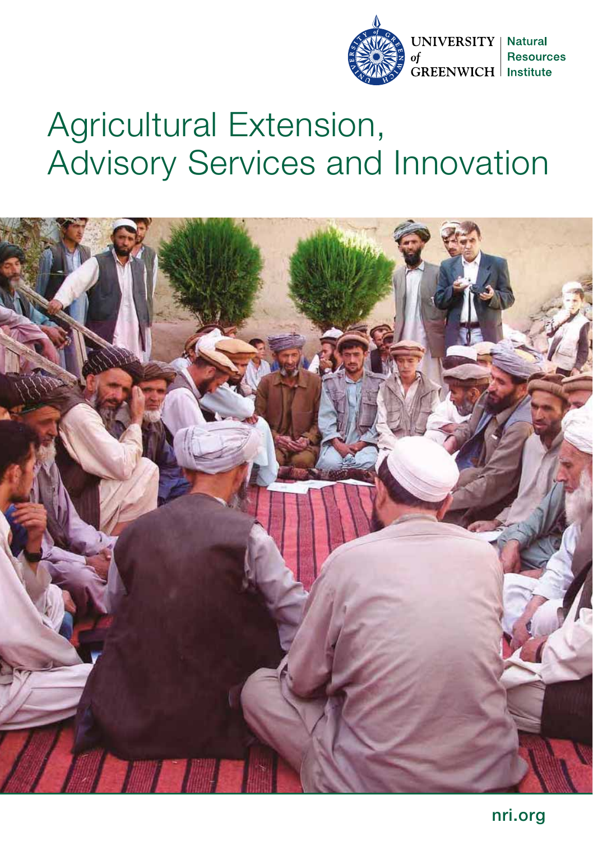

# Agricultural Extension, Advisory Services and Innovation

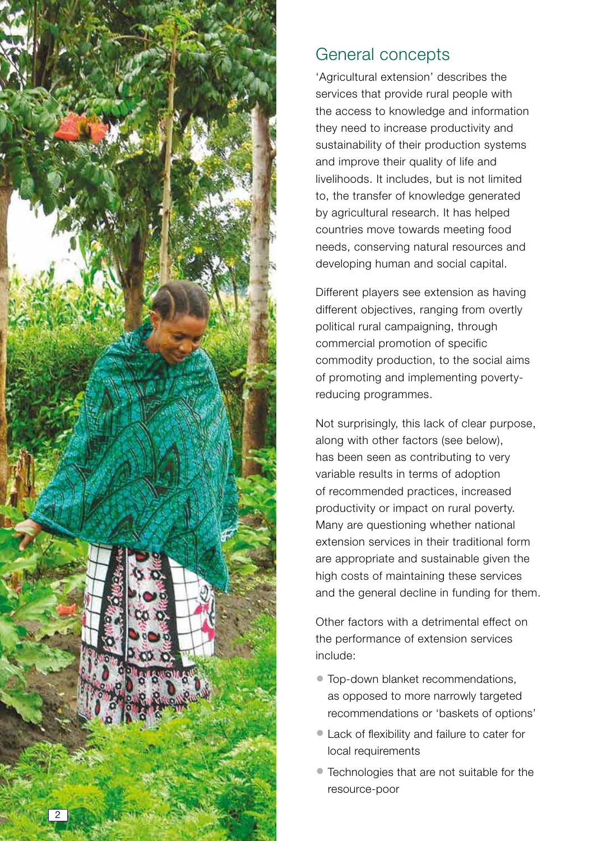

# General concepts

'Agricultural extension' describes the services that provide rural people with the access to knowledge and information they need to increase productivity and sustainability of their production systems and improve their quality of life and livelihoods. It includes, but is not limited to, the transfer of knowledge generated by agricultural research. It has helped countries move towards meeting food needs, conserving natural resources and developing human and social capital.

Different players see extension as having different objectives, ranging from overtly political rural campaigning, through commercial promotion of specific commodity production, to the social aims of promoting and implementing povertyreducing programmes.

Not surprisingly, this lack of clear purpose, along with other factors (see below), has been seen as contributing to very variable results in terms of adoption of recommended practices, increased productivity or impact on rural poverty. Many are questioning whether national extension services in their traditional form are appropriate and sustainable given the high costs of maintaining these services and the general decline in funding for them.

Other factors with a detrimental effect on the performance of extension services include:<br>• Top-down blanket recommendations,

- as opposed to more narrowly targeted recommendations or 'baskets of options'
- Lack of flexibility and failure to cater for local requirements
- Technologies that are not suitable for the resource-poor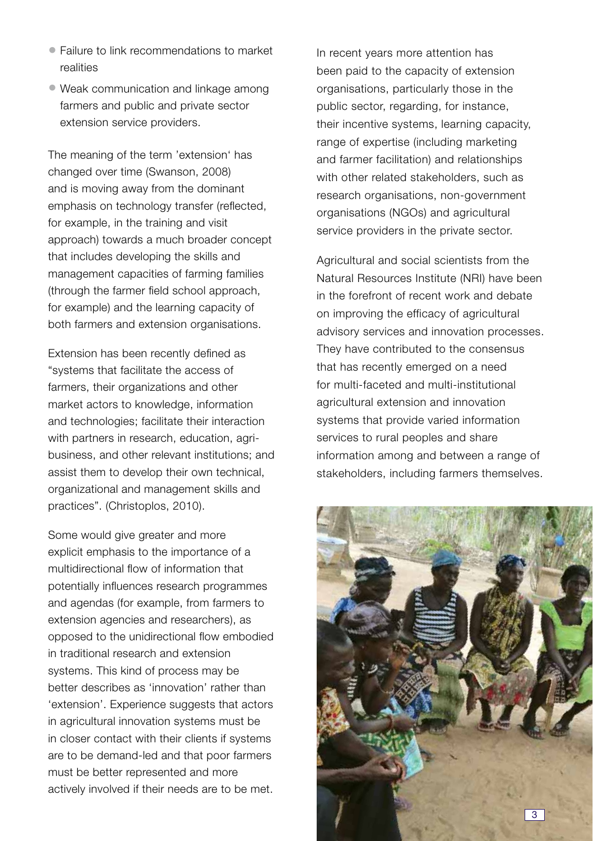- Failure to link recommendations to market realities
- Weak communication and linkage among farmers and public and private sector extension service providers.

The meaning of the term 'extension' has changed over time (Swanson, 2008) and is moving away from the dominant emphasis on technology transfer (reflected, for example, in the training and visit approach) towards a much broader concept that includes developing the skills and management capacities of farming families (through the farmer field school approach, for example) and the learning capacity of both farmers and extension organisations.

Extension has been recently defined as "systems that facilitate the access of farmers, their organizations and other market actors to knowledge, information and technologies; facilitate their interaction with partners in research, education, agribusiness, and other relevant institutions; and assist them to develop their own technical, organizational and management skills and practices". (Christoplos, 2010).

Some would give greater and more explicit emphasis to the importance of a multidirectional flow of information that potentially influences research programmes and agendas (for example, from farmers to extension agencies and researchers), as opposed to the unidirectional flow embodied in traditional research and extension systems. This kind of process may be better describes as 'innovation' rather than 'extension'. Experience suggests that actors in agricultural innovation systems must be in closer contact with their clients if systems are to be demand-led and that poor farmers must be better represented and more actively involved if their needs are to be met. In recent years more attention has been paid to the capacity of extension organisations, particularly those in the public sector, regarding, for instance, their incentive systems, learning capacity, range of expertise (including marketing and farmer facilitation) and relationships with other related stakeholders, such as research organisations, non-government organisations (NGOs) and agricultural service providers in the private sector.

Agricultural and social scientists from the Natural Resources Institute (NRI) have been in the forefront of recent work and debate on improving the efficacy of agricultural advisory services and innovation processes. They have contributed to the consensus that has recently emerged on a need for multi-faceted and multi-institutional agricultural extension and innovation systems that provide varied information services to rural peoples and share information among and between a range of stakeholders, including farmers themselves.

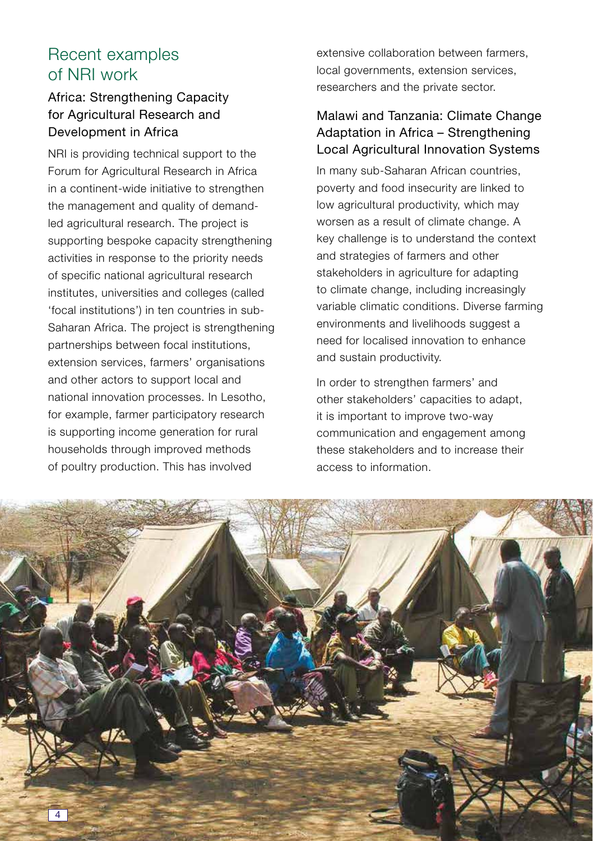# Recent examples of NRI work

# Africa: Strengthening Capacity for Agricultural Research and Development in Africa

NRI is providing technical support to the Forum for Agricultural Research in Africa in a continent-wide initiative to strengthen the management and quality of demandled agricultural research. The project is supporting bespoke capacity strengthening activities in response to the priority needs of specific national agricultural research institutes, universities and colleges (called 'focal institutions') in ten countries in sub-Saharan Africa. The project is strengthening partnerships between focal institutions, extension services, farmers' organisations and other actors to support local and national innovation processes. In Lesotho, for example, farmer participatory research is supporting income generation for rural households through improved methods of poultry production. This has involved

extensive collaboration between farmers, local governments, extension services, researchers and the private sector.

## Malawi and Tanzania: Climate Change Adaptation in Africa – Strengthening Local Agricultural Innovation Systems

In many sub-Saharan African countries, poverty and food insecurity are linked to low agricultural productivity, which may worsen as a result of climate change. A key challenge is to understand the context and strategies of farmers and other stakeholders in agriculture for adapting to climate change, including increasingly variable climatic conditions. Diverse farming environments and livelihoods suggest a need for localised innovation to enhance and sustain productivity.

In order to strengthen farmers' and other stakeholders' capacities to adapt, it is important to improve two-way communication and engagement among these stakeholders and to increase their access to information.

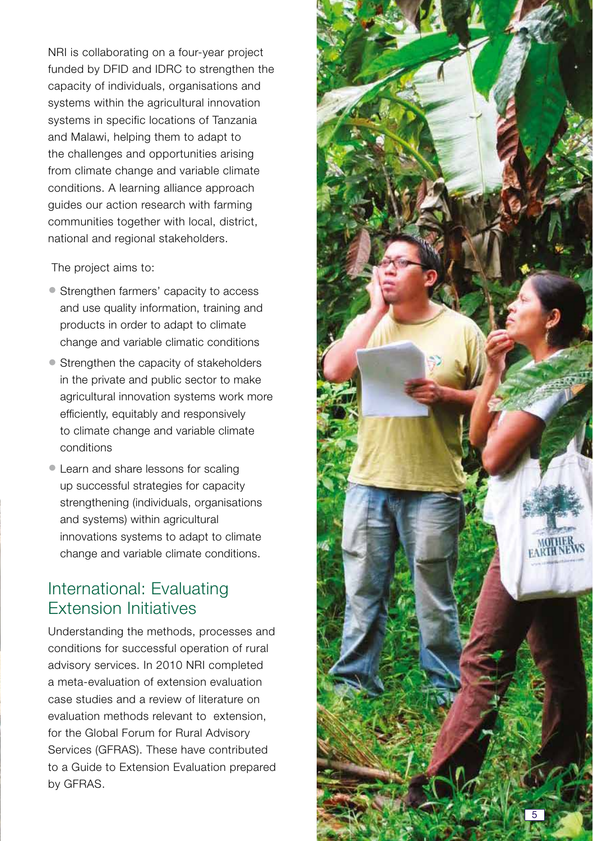NRI is collaborating on a four-year project funded by DFID and IDRC to strengthen the capacity of individuals, organisations and systems within the agricultural innovation systems in specific locations of Tanzania and Malawi, helping them to adapt to the challenges and opportunities arising from climate change and variable climate conditions. A learning alliance approach guides our action research with farming communities together with local, district, national and regional stakeholders.

The project aims to:

- Strengthen farmers' capacity to access and use quality information, training and products in order to adapt to climate change and variable climatic conditions
- Strengthen the capacity of stakeholders in the private and public sector to make agricultural innovation systems work more efficiently, equitably and responsively to climate change and variable climate conditions
- Learn and share lessons for scaling up successful strategies for capacity strengthening (individuals, organisations) and systems) within agricultural innovations systems to adapt to climate change and variable climate conditions.

# International: Evaluating Extension Initiatives

Understanding the methods, processes and conditions for successful operation of rural advisory services. In 2010 NRI completed a meta-evaluation of extension evaluation case studies and a review of literature on evaluation methods relevant to extension, for the Global Forum for Rural Advisory Services (GFRAS). These have contributed to a Guide to Extension Evaluation prepared by GFRAS.

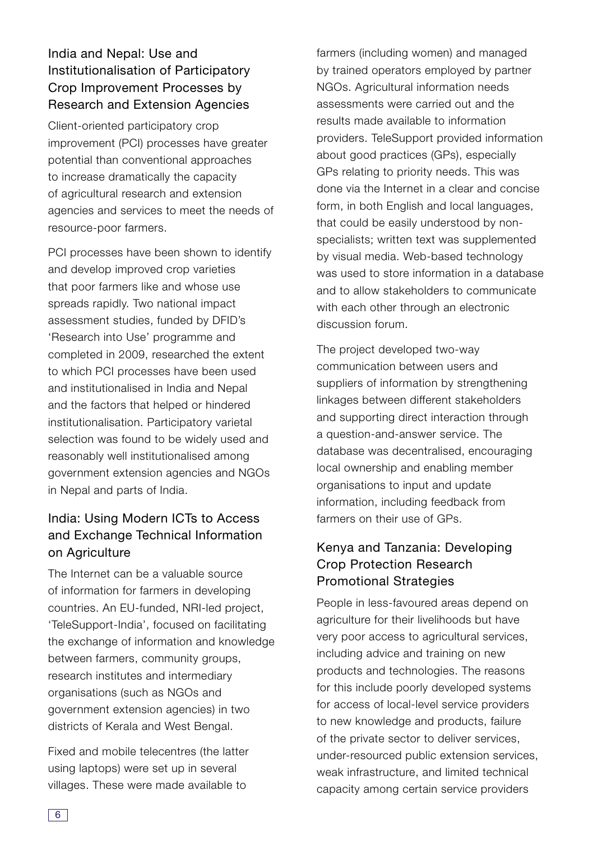## India and Nepal: Use and Institutionalisation of Participatory Crop Improvement Processes by Research and Extension Agencies

Client-oriented participatory crop improvement (PCI) processes have greater potential than conventional approaches to increase dramatically the capacity of agricultural research and extension agencies and services to meet the needs of resource-poor farmers.

PCI processes have been shown to identify and develop improved crop varieties that poor farmers like and whose use spreads rapidly. Two national impact assessment studies, funded by DFID's 'Research into Use' programme and completed in 2009, researched the extent to which PCI processes have been used and institutionalised in India and Nepal and the factors that helped or hindered institutionalisation. Participatory varietal selection was found to be widely used and reasonably well institutionalised among government extension agencies and NGOs in Nepal and parts of India.

## India: Using Modern ICTs to Access and Exchange Technical Information on Agriculture

The Internet can be a valuable source of information for farmers in developing countries. An EU-funded, NRI-led project, 'TeleSupport-India', focused on facilitating the exchange of information and knowledge between farmers, community groups, research institutes and intermediary organisations (such as NGOs and government extension agencies) in two districts of Kerala and West Bengal.

Fixed and mobile telecentres (the latter using laptops) were set up in several villages. These were made available to

farmers (including women) and managed by trained operators employed by partner NGOs. Agricultural information needs assessments were carried out and the results made available to information providers. TeleSupport provided information about good practices (GPs), especially GPs relating to priority needs. This was done via the Internet in a clear and concise form, in both English and local languages, that could be easily understood by nonspecialists; written text was supplemented by visual media. Web-based technology was used to store information in a database and to allow stakeholders to communicate with each other through an electronic discussion forum.

The project developed two-way communication between users and suppliers of information by strengthening linkages between different stakeholders and supporting direct interaction through a question-and-answer service. The database was decentralised, encouraging local ownership and enabling member organisations to input and update information, including feedback from farmers on their use of GPs.

## Kenya and Tanzania: Developing Crop Protection Research Promotional Strategies

People in less-favoured areas depend on agriculture for their livelihoods but have very poor access to agricultural services, including advice and training on new products and technologies. The reasons for this include poorly developed systems for access of local-level service providers to new knowledge and products, failure of the private sector to deliver services, under-resourced public extension services, weak infrastructure, and limited technical capacity among certain service providers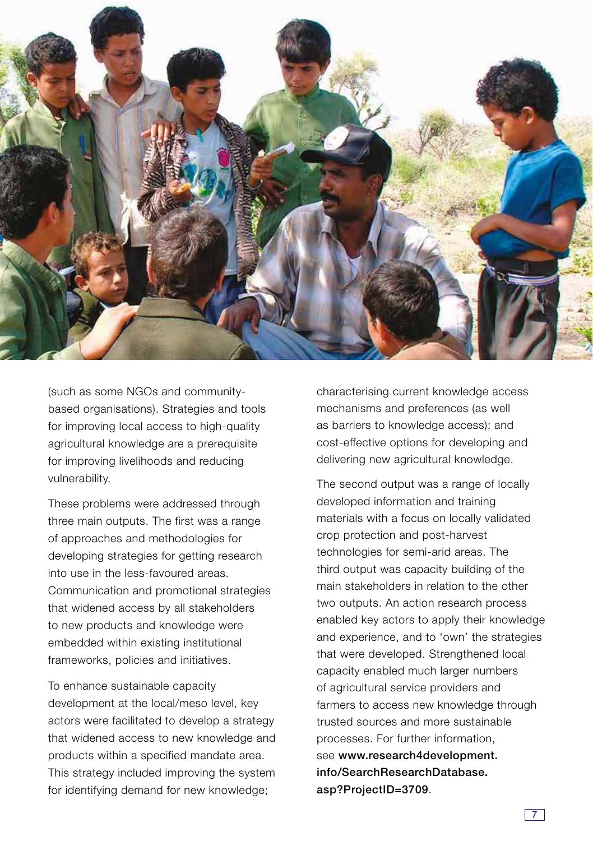

(such as some NGOs and communitybased organisations). Strategies and tools for improving local access to high-quality agricultural knowledge are a prerequisite for improving livelihoods and reducing vulnerability.

These problems were addressed through three main outputs. The first was a range of approaches and methodologies for developing strategies for getting research into use in the less-favoured areas. Communication and promotional strategies that widened access by all stakeholders to new products and knowledge were embedded within existing institutional frameworks, policies and initiatives.

To enhance sustainable capacity development at the local/meso level, key actors were facilitated to develop a strategy that widened access to new knowledge and products within a specified mandate area. This strategy included improving the system for identifying demand for new knowledge;

characterising current knowledge access mechanisms and preferences (as well as barriers to knowledge access); and cost-effective options for developing and delivering new agricultural knowledge.

The second output was a range of locally developed information and training materials with a focus on locally validated crop protection and post-harvest technologies for semi-arid areas. The third output was capacity building of the main stakeholders in relation to the other two outputs. An action research process enabled key actors to apply their knowledge and experience, and to 'own' the strategies that were developed. Strengthened local capacity enabled much larger numbers of agricultural service providers and farmers to access new knowledge through trusted sources and more sustainable processes. For further information, see **www.research4development. info/SearchResearchDatabase. asp?ProjectID=3709**.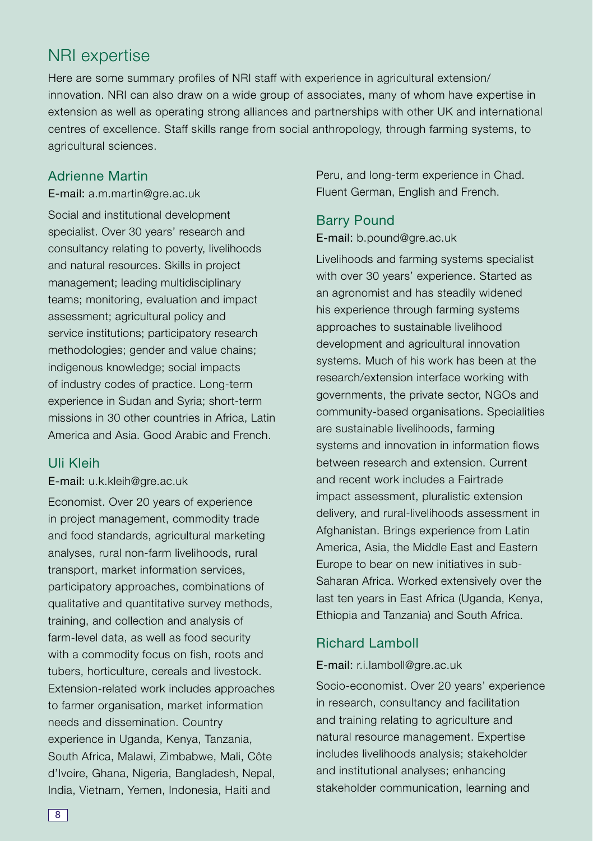# NRI expertise

Here are some summary profiles of NRI staff with experience in agricultural extension/ innovation. NRI can also draw on a wide group of associates, many of whom have expertise in extension as well as operating strong alliances and partnerships with other UK and international centres of excellence. Staff skills range from social anthropology, through farming systems, to agricultural sciences.

#### Adrienne Martin

E-mail: a.m.martin@gre.ac.uk Social and institutional development specialist. Over 30 years' research and consultancy relating to poverty, livelihoods and natural resources. Skills in project management; leading multidisciplinary teams; monitoring, evaluation and impact assessment; agricultural policy and service institutions; participatory research methodologies; gender and value chains; indigenous knowledge; social impacts of industry codes of practice. Long-term experience in Sudan and Syria; short-term missions in 30 other countries in Africa, Latin America and Asia. Good Arabic and French.

#### Uli Kleih

#### E-mail: u.k.kleih@gre.ac.uk

Economist. Over 20 years of experience in project management, commodity trade and food standards, agricultural marketing analyses, rural non-farm livelihoods, rural transport, market information services, participatory approaches, combinations of qualitative and quantitative survey methods, training, and collection and analysis of farm-level data, as well as food security with a commodity focus on fish, roots and tubers, horticulture, cereals and livestock. Extension-related work includes approaches to farmer organisation, market information needs and dissemination. Country experience in Uganda, Kenya, Tanzania, South Africa, Malawi, Zimbabwe, Mali, Côte d'Ivoire, Ghana, Nigeria, Bangladesh, Nepal, India, Vietnam, Yemen, Indonesia, Haiti and

Peru, and long-term experience in Chad. Fluent German, English and French.

#### Barry Pound

E-mail: b.pound@gre.ac.uk

Livelihoods and farming systems specialist with over 30 years' experience. Started as an agronomist and has steadily widened his experience through farming systems approaches to sustainable livelihood development and agricultural innovation systems. Much of his work has been at the research/extension interface working with governments, the private sector, NGOs and community-based organisations. Specialities are sustainable livelihoods, farming systems and innovation in information flows between research and extension. Current and recent work includes a Fairtrade impact assessment, pluralistic extension delivery, and rural-livelihoods assessment in Afghanistan. Brings experience from Latin America, Asia, the Middle East and Eastern Europe to bear on new initiatives in sub-Saharan Africa. Worked extensively over the last ten years in East Africa (Uganda, Kenya, Ethiopia and Tanzania) and South Africa.

### Richard Lamboll

E-mail: r.i.lamboll@gre.ac.uk

Socio-economist. Over 20 years' experience in research, consultancy and facilitation and training relating to agriculture and natural resource management. Expertise includes livelihoods analysis; stakeholder and institutional analyses; enhancing stakeholder communication, learning and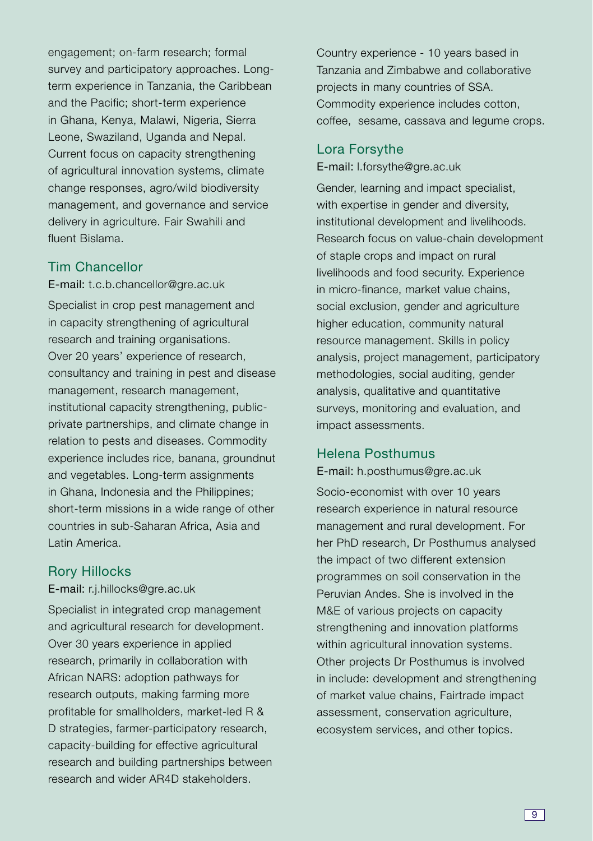engagement; on-farm research; formal survey and participatory approaches. Longterm experience in Tanzania, the Caribbean and the Pacific; short-term experience in Ghana, Kenya, Malawi, Nigeria, Sierra Leone, Swaziland, Uganda and Nepal. Current focus on capacity strengthening of agricultural innovation systems, climate change responses, agro/wild biodiversity management, and governance and service delivery in agriculture. Fair Swahili and fluent Bislama.

#### Tim Chancellor

E-mail: t.c.b.chancellor@gre.ac.uk Specialist in crop pest management and in capacity strengthening of agricultural research and training organisations. Over 20 years' experience of research, consultancy and training in pest and disease management, research management, institutional capacity strengthening, publicprivate partnerships, and climate change in relation to pests and diseases. Commodity experience includes rice, banana, groundnut and vegetables. Long-term assignments in Ghana, Indonesia and the Philippines; short-term missions in a wide range of other countries in sub-Saharan Africa, Asia and Latin America.

#### Rory Hillocks

E-mail: r.j.hillocks@gre.ac.uk

Specialist in integrated crop management and agricultural research for development. Over 30 years experience in applied research, primarily in collaboration with African NARS: adoption pathways for research outputs, making farming more profitable for smallholders, market-led R & D strategies, farmer-participatory research, capacity-building for effective agricultural research and building partnerships between research and wider AR4D stakeholders.

Country experience - 10 years based in Tanzania and Zimbabwe and collaborative projects in many countries of SSA. Commodity experience includes cotton, coffee, sesame, cassava and legume crops.

#### Lora Forsythe

E-mail: l.forsythe@gre.ac.uk

Gender, learning and impact specialist, with expertise in gender and diversity, institutional development and livelihoods. Research focus on value-chain development of staple crops and impact on rural livelihoods and food security. Experience in micro-finance, market value chains, social exclusion, gender and agriculture higher education, community natural resource management. Skills in policy analysis, project management, participatory methodologies, social auditing, gender analysis, qualitative and quantitative surveys, monitoring and evaluation, and impact assessments.

#### Helena Posthumus

E-mail: h.posthumus@gre.ac.uk Socio-economist with over 10 years research experience in natural resource management and rural development. For her PhD research, Dr Posthumus analysed the impact of two different extension programmes on soil conservation in the Peruvian Andes. She is involved in the M&E of various projects on capacity strengthening and innovation platforms within agricultural innovation systems. Other projects Dr Posthumus is involved in include: development and strengthening of market value chains, Fairtrade impact assessment, conservation agriculture, ecosystem services, and other topics.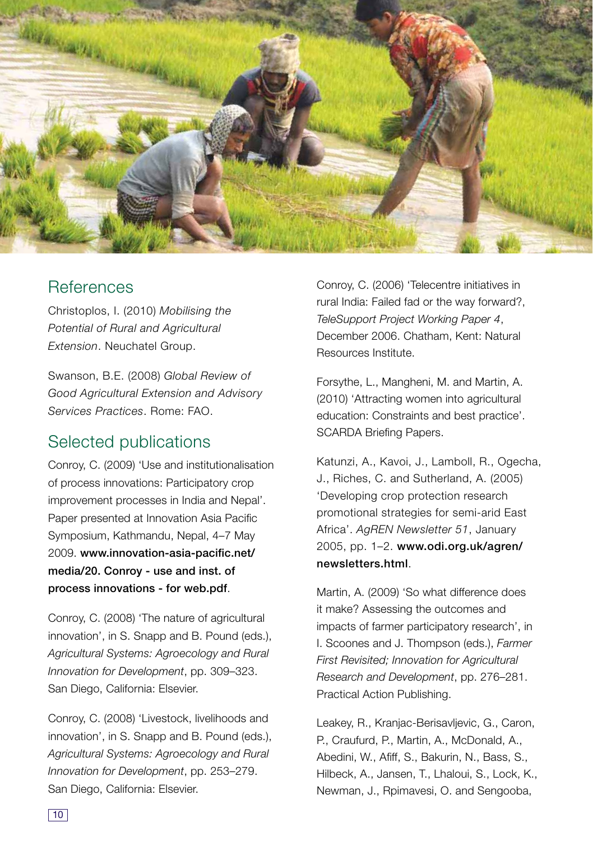

# **References**

Christoplos, I. (2010) Mobilising the Potential of Rural and Agricultural Extension. Neuchatel Group.

Swanson, B.E. (2008) Global Review of Good Agricultural Extension and Advisory Services Practices. Rome: FAO.

# Selected publications

Conroy, C. (2009) 'Use and institutionalisation of process innovations: Participatory crop improvement processes in India and Nepal'. Paper presented at Innovation Asia Pacific Symposium, Kathmandu, Nepal, 4–7 May 2009. **www.innovation-asia-pacific.net/ media/20. Conroy - use and inst. of process innovations - for web.pdf**.

Conroy, C. (2008) 'The nature of agricultural innovation', in S. Snapp and B. Pound (eds.), Agricultural Systems: Agroecology and Rural Innovation for Development, pp. 309–323. San Diego, California: Elsevier.

Conroy, C. (2008) 'Livestock, livelihoods and innovation', in S. Snapp and B. Pound (eds.), Agricultural Systems: Agroecology and Rural Innovation for Development, pp. 253–279. San Diego, California: Elsevier.

Conroy, C. (2006) 'Telecentre initiatives in rural India: Failed fad or the way forward?, TeleSupport Project Working Paper 4, December 2006. Chatham, Kent: Natural Resources Institute.

Forsythe, L., Mangheni, M. and Martin, A. (2010) 'Attracting women into agricultural education: Constraints and best practice'. SCARDA Briefing Papers.

Katunzi, A., Kavoi, J., Lamboll, R., Ogecha, J., Riches, C. and Sutherland, A. (2005) 'Developing crop protection research promotional strategies for semi-arid East Africa'. AgREN Newsletter 51, January 2005, pp. 1–2. **www.odi.org.uk/agren/ newsletters.html**.

Martin, A. (2009) 'So what difference does it make? Assessing the outcomes and impacts of farmer participatory research', in I. Scoones and J. Thompson (eds.), Farmer First Revisited; Innovation for Agricultural Research and Development, pp. 276–281. Practical Action Publishing.

Leakey, R., Kranjac-Berisavljevic, G., Caron, P., Craufurd, P., Martin, A., McDonald, A., Abedini, W., Afiff, S., Bakurin, N., Bass, S., Hilbeck, A., Jansen, T., Lhaloui, S., Lock, K., Newman, J., Rpimavesi, O. and Sengooba,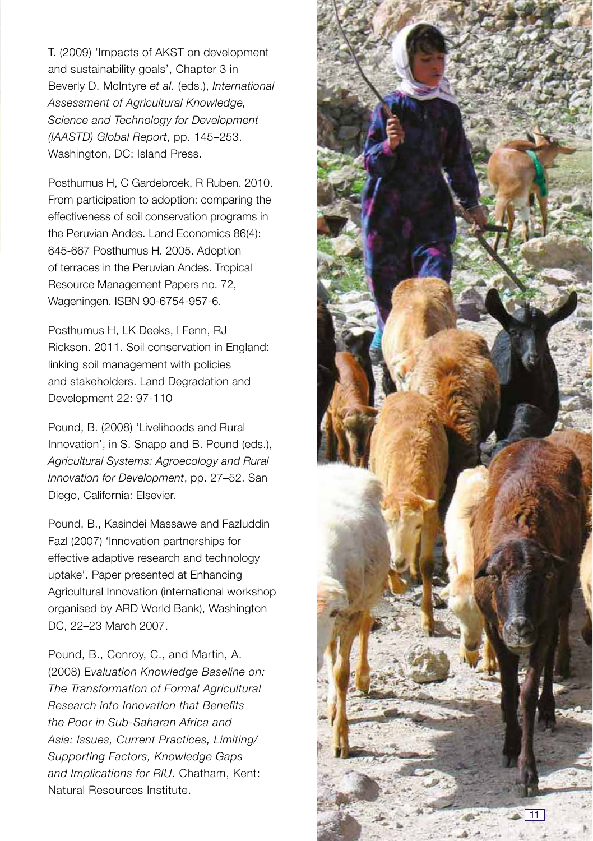T. (2009) 'Impacts of AKST on development and sustainability goals', Chapter 3 in Beverly D. McIntyre et al. (eds.), International Assessment of Agricultural Knowledge, Science and Technology for Development (IAASTD) Global Report, pp. 145–253. Washington, DC: Island Press.

Posthumus H, C Gardebroek, R Ruben. 2010. From participation to adoption: comparing the effectiveness of soil conservation programs in the Peruvian Andes. Land Economics 86(4): 645-667 Posthumus H. 2005. Adoption of terraces in the Peruvian Andes. Tropical Resource Management Papers no. 72, Wageningen. ISBN 90-6754-957-6.

Posthumus H, LK Deeks, I Fenn, RJ Rickson. 2011. Soil conservation in England: linking soil management with policies and stakeholders. Land Degradation and Development 22: 97-110

Pound, B. (2008) 'Livelihoods and Rural Innovation', in S. Snapp and B. Pound (eds.), Agricultural Systems: Agroecology and Rural Innovation for Development, pp. 27–52. San Diego, California: Elsevier.

Pound, B., Kasindei Massawe and Fazluddin Fazl (2007) 'Innovation partnerships for effective adaptive research and technology uptake'. Paper presented at Enhancing Agricultural Innovation (international workshop organised by ARD World Bank), Washington DC, 22–23 March 2007.

Pound, B., Conroy, C., and Martin, A. (2008) Evaluation Knowledge Baseline on: The Transformation of Formal Agricultural Research into Innovation that Benefits the Poor in Sub-Saharan Africa and Asia: Issues, Current Practices, Limiting/ Supporting Factors, Knowledge Gaps and Implications for RIU. Chatham, Kent: Natural Resources Institute.